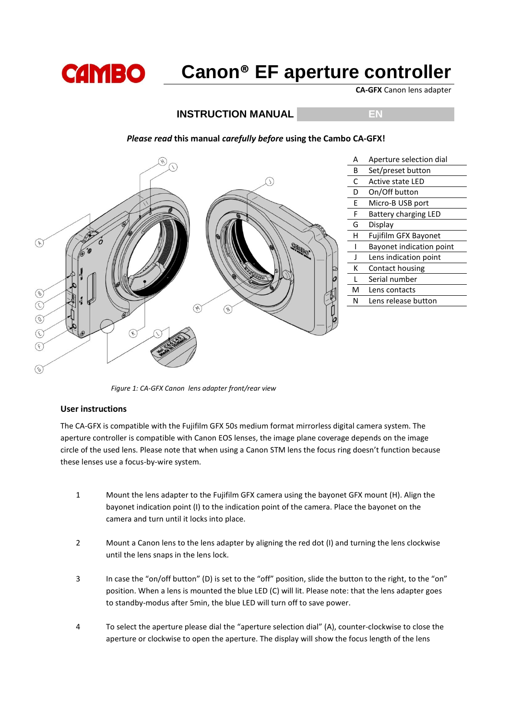

**CA-GFX** Canon lens adapter

# **INSTRUCTION MANUAL EN**

#### A Aperture selection dial B Set/preset button Active state LED D On/Off button E Micro-B USB port F Battery charging LED G Display H Fujifilm GFX Bayonet  $\mathcal{F}$ I Bayonet indication point J Lens indication point K Contact housing L Serial number M Lens contacts  $\circledast$ N Lens release button  $\mathcal{C}$  $\mathscr{F}$  $\circledcirc$  $\mathcal{F}$  $(\epsilon)$  $\left( \epsilon \right)$  $\mathcal{C}$

*Please read* **this manual** *carefully before* **using the Cambo CA-GFX!**

 *Figure 1: CA-GFX Canon lens adapter front/rear view*

## **User instructions**

The CA-GFX is compatible with the Fujifilm GFX 50s medium format mirrorless digital camera system. The aperture controller is compatible with Canon EOS lenses, the image plane coverage depends on the image circle of the used lens. Please note that when using a Canon STM lens the focus ring doesn't function because these lenses use a focus-by-wire system.

- 1 Mount the lens adapter to the Fujifilm GFX camera using the bayonet GFX mount (H). Align the bayonet indication point (I) to the indication point of the camera. Place the bayonet on the camera and turn until it locks into place.
- 2 Mount a Canon lens to the lens adapter by aligning the red dot (I) and turning the lens clockwise until the lens snaps in the lens lock.
- 3 In case the "on/off button" (D) is set to the "off" position, slide the button to the right, to the "on" position. When a lens is mounted the blue LED (C) will lit. Please note: that the lens adapter goes to standby-modus after 5min, the blue LED will turn off to save power.
- 4 To select the aperture please dial the "aperture selection dial" (A), counter-clockwise to close the aperture or clockwise to open the aperture. The display will show the focus length of the lens